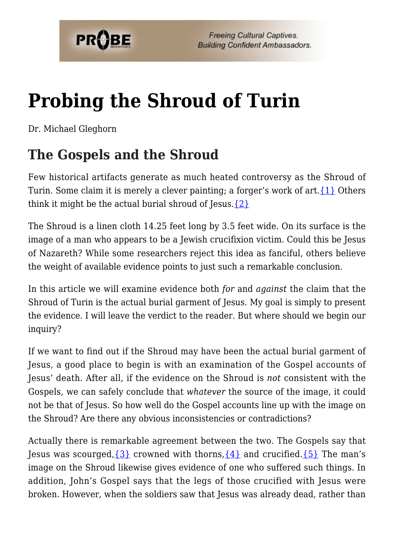

# **[Probing the Shroud of Turin](https://probe.org/probing-the-shroud-of-turin/)**

Dr. Michael Gleghorn

### **The Gospels and the Shroud**

Few historical artifacts generate as much heated controversy as the Shroud of Turin. Some claim it is merely a clever painting; a forger's work of art.  $\{1\}$  Others think it might be the actual burial shroud of Jesus. $\{2\}$ 

The Shroud is a linen cloth 14.25 feet long by 3.5 feet wide. On its surface is the image of a man who appears to be a Jewish crucifixion victim. Could this be Jesus of Nazareth? While some researchers reject this idea as fanciful, others believe the weight of available evidence points to just such a remarkable conclusion.

In this article we will examine evidence both *for* and *against* the claim that the Shroud of Turin is the actual burial garment of Jesus. My goal is simply to present the evidence. I will leave the verdict to the reader. But where should we begin our inquiry?

If we want to find out if the Shroud may have been the actual burial garment of Jesus, a good place to begin is with an examination of the Gospel accounts of Jesus' death. After all, if the evidence on the Shroud is *not* consistent with the Gospels, we can safely conclude that *whatever* the source of the image, it could not be that of Jesus. So how well do the Gospel accounts line up with the image on the Shroud? Are there any obvious inconsistencies or contradictions?

Actually there is remarkable agreement between the two. The Gospels say that Jesus was scourged,  $\{3\}$  crowned with thorns,  $\{4\}$  and crucified.  $\{5\}$  The man's image on the Shroud likewise gives evidence of one who suffered such things. In addition, John's Gospel says that the legs of those crucified with Jesus were broken. However, when the soldiers saw that Jesus was already dead, rather than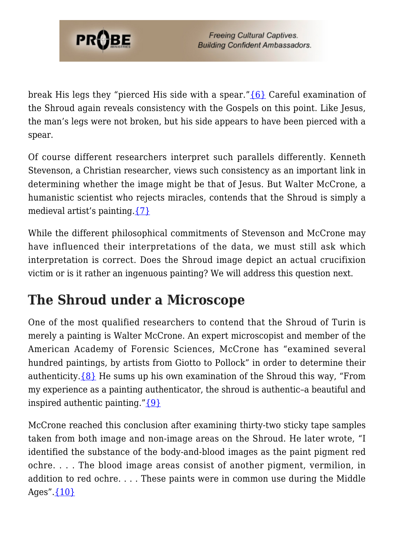

break His legs they "pierced His side with a spear."[{6}](#page-7-5) Careful examination of the Shroud again reveals consistency with the Gospels on this point. Like Jesus, the man's legs were not broken, but his side appears to have been pierced with a spear.

Of course different researchers interpret such parallels differently. Kenneth Stevenson, a Christian researcher, views such consistency as an important link in determining whether the image might be that of Jesus. But Walter McCrone, a humanistic scientist who rejects miracles, contends that the Shroud is simply a medieval artist's painting.[{7}](#page-7-6)

While the different philosophical commitments of Stevenson and McCrone may have influenced their interpretations of the data, we must still ask which interpretation is correct. Does the Shroud image depict an actual crucifixion victim or is it rather an ingenuous painting? We will address this question next.

## **The Shroud under a Microscope**

One of the most qualified researchers to contend that the Shroud of Turin is merely a painting is Walter McCrone. An expert microscopist and member of the American Academy of Forensic Sciences, McCrone has "examined several hundred paintings, by artists from Giotto to Pollock" in order to determine their authenticity. $\{8\}$  He sums up his own examination of the Shroud this way, "From my experience as a painting authenticator, the shroud is authentic–a beautiful and inspired authentic painting." $\{9\}$ 

McCrone reached this conclusion after examining thirty-two sticky tape samples taken from both image and non-image areas on the Shroud. He later wrote, "I identified the substance of the body-and-blood images as the paint pigment red ochre. . . . The blood image areas consist of another pigment, vermilion, in addition to red ochre. . . . These paints were in common use during the Middle Ages". $\{10\}$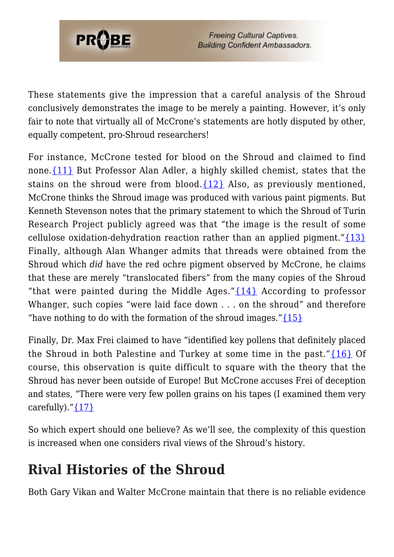

**Freeing Cultural Captives. Building Confident Ambassadors.** 

These statements give the impression that a careful analysis of the Shroud conclusively demonstrates the image to be merely a painting. However, it's only fair to note that virtually all of McCrone's statements are hotly disputed by other, equally competent, pro-Shroud researchers!

For instance, McCrone tested for blood on the Shroud and claimed to find none.[{11}](#page-7-10) But Professor Alan Adler, a highly skilled chemist, states that the stains on the shroud were from blood. $\{12\}$  Also, as previously mentioned, McCrone thinks the Shroud image was produced with various paint pigments. But Kenneth Stevenson notes that the primary statement to which the Shroud of Turin Research Project publicly agreed was that "the image is the result of some cellulose oxidation-dehydration reaction rather than an applied pigment." $\{13\}$ Finally, although Alan Whanger admits that threads were obtained from the Shroud which *did* have the red ochre pigment observed by McCrone, he claims that these are merely "translocated fibers" from the many copies of the Shroud "that were painted during the Middle Ages." ${14}$  According to professor Whanger, such copies "were laid face down . . . on the shroud" and therefore "have nothing to do with the formation of the shroud images." $\{15\}$ 

Finally, Dr. Max Frei claimed to have "identified key pollens that definitely placed the Shroud in both Palestine and Turkey at some time in the past." $\{16\}$  Of course, this observation is quite difficult to square with the theory that the Shroud has never been outside of Europe! But McCrone accuses Frei of deception and states, "There were very few pollen grains on his tapes (I examined them very carefully). $'_{17}$ 

So which expert should one believe? As we'll see, the complexity of this question is increased when one considers rival views of the Shroud's history.

#### **Rival Histories of the Shroud**

Both Gary Vikan and Walter McCrone maintain that there is no reliable evidence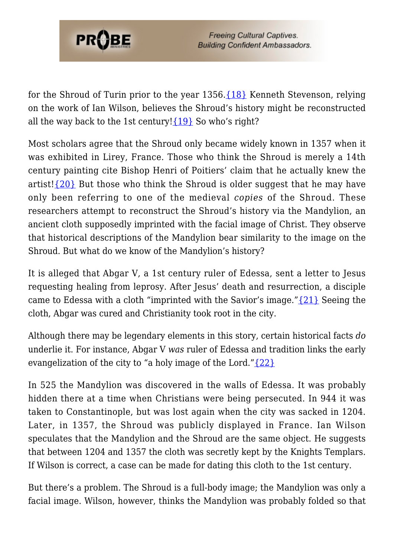

for the Shroud of Turin prior to the year 1356[.{18}](#page-8-4) Kenneth Stevenson, relying on the work of Ian Wilson, believes the Shroud's history might be reconstructed all the way back to the 1st century! $\{19\}$  So who's right?

Most scholars agree that the Shroud only became widely known in 1357 when it was exhibited in Lirey, France. Those who think the Shroud is merely a 14th century painting cite Bishop Henri of Poitiers' claim that he actually knew the artist! $\{20\}$  But those who think the Shroud is older suggest that he may have only been referring to one of the medieval *copies* of the Shroud. These researchers attempt to reconstruct the Shroud's history via the Mandylion, an ancient cloth supposedly imprinted with the facial image of Christ. They observe that historical descriptions of the Mandylion bear similarity to the image on the Shroud. But what do we know of the Mandylion's history?

It is alleged that Abgar V, a 1st century ruler of Edessa, sent a letter to Jesus requesting healing from leprosy. After Jesus' death and resurrection, a disciple came to Edessa with a cloth "imprinted with the Savior's image."[{21}](#page-8-7) Seeing the cloth, Abgar was cured and Christianity took root in the city.

Although there may be legendary elements in this story, certain historical facts *do* underlie it. For instance, Abgar V *was* ruler of Edessa and tradition links the early evangelization of the city to "a holy image of the Lord." $\{22\}$ 

In 525 the Mandylion was discovered in the walls of Edessa. It was probably hidden there at a time when Christians were being persecuted. In 944 it was taken to Constantinople, but was lost again when the city was sacked in 1204. Later, in 1357, the Shroud was publicly displayed in France. Ian Wilson speculates that the Mandylion and the Shroud are the same object. He suggests that between 1204 and 1357 the cloth was secretly kept by the Knights Templars. If Wilson is correct, a case can be made for dating this cloth to the 1st century.

But there's a problem. The Shroud is a full-body image; the Mandylion was only a facial image. Wilson, however, thinks the Mandylion was probably folded so that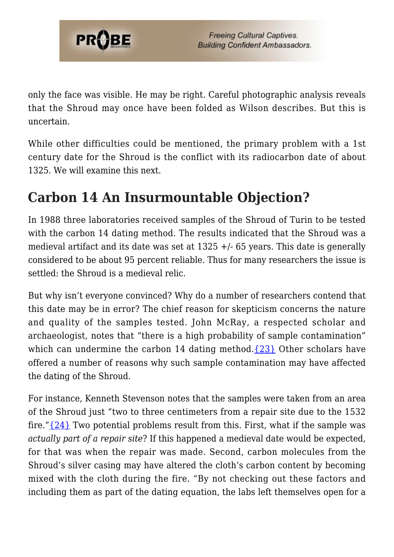

only the face was visible. He may be right. Careful photographic analysis reveals that the Shroud may once have been folded as Wilson describes. But this is uncertain.

While other difficulties could be mentioned, the primary problem with a 1st century date for the Shroud is the conflict with its radiocarbon date of about 1325. We will examine this next.

#### **Carbon 14 An Insurmountable Objection?**

In 1988 three laboratories received samples of the Shroud of Turin to be tested with the carbon 14 dating method. The results indicated that the Shroud was a medieval artifact and its date was set at 1325 +/- 65 years. This date is generally considered to be about 95 percent reliable. Thus for many researchers the issue is settled: the Shroud is a medieval relic.

But why isn't everyone convinced? Why do a number of researchers contend that this date may be in error? The chief reason for skepticism concerns the nature and quality of the samples tested. John McRay, a respected scholar and archaeologist, notes that "there is a high probability of sample contamination" which can undermine the carbon 14 dating method. $\{23\}$  Other scholars have offered a number of reasons why such sample contamination may have affected the dating of the Shroud.

For instance, Kenneth Stevenson notes that the samples were taken from an area of the Shroud just "two to three centimeters from a repair site due to the 1532 fire." ${24}$  Two potential problems result from this. First, what if the sample was *actually part of a repair site*? If this happened a medieval date would be expected, for that was when the repair was made. Second, carbon molecules from the Shroud's silver casing may have altered the cloth's carbon content by becoming mixed with the cloth during the fire. "By not checking out these factors and including them as part of the dating equation, the labs left themselves open for a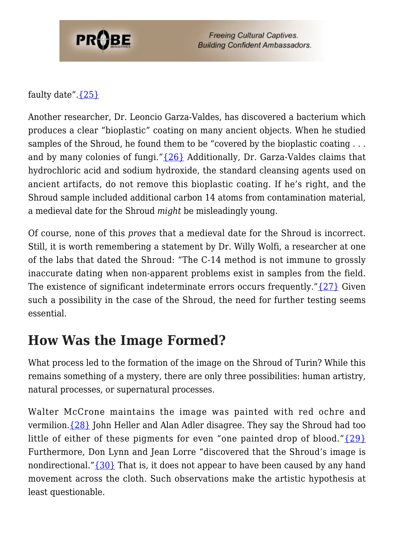

**Freeing Cultural Captives. Building Confident Ambassadors.** 

faulty date". ${25}$ 

Another researcher, Dr. Leoncio Garza-Valdes, has discovered a bacterium which produces a clear "bioplastic" coating on many ancient objects. When he studied samples of the Shroud, he found them to be "covered by the bioplastic coating ... and by many colonies of fungi."[{26}](#page-8-12) Additionally, Dr. Garza-Valdes claims that hydrochloric acid and sodium hydroxide, the standard cleansing agents used on ancient artifacts, do not remove this bioplastic coating. If he's right, and the Shroud sample included additional carbon 14 atoms from contamination material, a medieval date for the Shroud *might* be misleadingly young.

Of course, none of this *proves* that a medieval date for the Shroud is incorrect. Still, it is worth remembering a statement by Dr. Willy Wolfi, a researcher at one of the labs that dated the Shroud: "The C-14 method is not immune to grossly inaccurate dating when non-apparent problems exist in samples from the field. The existence of significant indeterminate errors occurs frequently." $\{27\}$  Given such a possibility in the case of the Shroud, the need for further testing seems essential.

#### **How Was the Image Formed?**

What process led to the formation of the image on the Shroud of Turin? While this remains something of a mystery, there are only three possibilities: human artistry, natural processes, or supernatural processes.

Walter McCrone maintains the image was painted with red ochre and vermilion. $\{28\}$  John Heller and Alan Adler disagree. They say the Shroud had too little of either of these pigments for even "one painted drop of blood." ${29}$ Furthermore, Don Lynn and Jean Lorre "discovered that the Shroud's image is nondirectional." ${30}$  That is, it does not appear to have been caused by any hand movement across the cloth. Such observations make the artistic hypothesis at least questionable.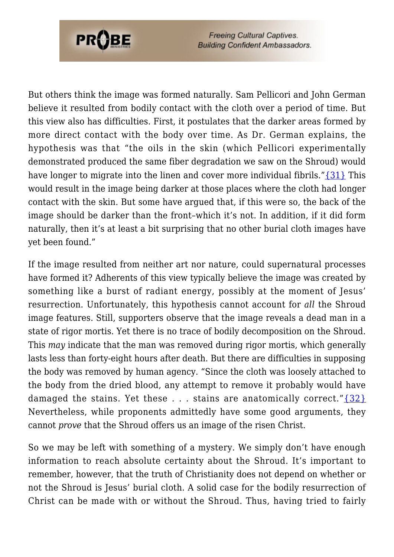

**Freeing Cultural Captives. Building Confident Ambassadors.** 

But others think the image was formed naturally. Sam Pellicori and John German believe it resulted from bodily contact with the cloth over a period of time. But this view also has difficulties. First, it postulates that the darker areas formed by more direct contact with the body over time. As Dr. German explains, the hypothesis was that "the oils in the skin (which Pellicori experimentally demonstrated produced the same fiber degradation we saw on the Shroud) would have longer to migrate into the linen and cover more individual fibrils." $\{31\}$  This would result in the image being darker at those places where the cloth had longer contact with the skin. But some have argued that, if this were so, the back of the image should be darker than the front–which it's not. In addition, if it did form naturally, then it's at least a bit surprising that no other burial cloth images have yet been found."

If the image resulted from neither art nor nature, could supernatural processes have formed it? Adherents of this view typically believe the image was created by something like a burst of radiant energy, possibly at the moment of Jesus' resurrection. Unfortunately, this hypothesis cannot account for *all* the Shroud image features. Still, supporters observe that the image reveals a dead man in a state of rigor mortis. Yet there is no trace of bodily decomposition on the Shroud. This *may* indicate that the man was removed during rigor mortis, which generally lasts less than forty-eight hours after death. But there are difficulties in supposing the body was removed by human agency. "Since the cloth was loosely attached to the body from the dried blood, any attempt to remove it probably would have damaged the stains. Yet these . . . stains are anatomically correct." $\{32\}$ Nevertheless, while proponents admittedly have some good arguments, they cannot *prove* that the Shroud offers us an image of the risen Christ.

So we may be left with something of a mystery. We simply don't have enough information to reach absolute certainty about the Shroud. It's important to remember, however, that the truth of Christianity does not depend on whether or not the Shroud is Jesus' burial cloth. A solid case for the bodily resurrection of Christ can be made with or without the Shroud. Thus, having tried to fairly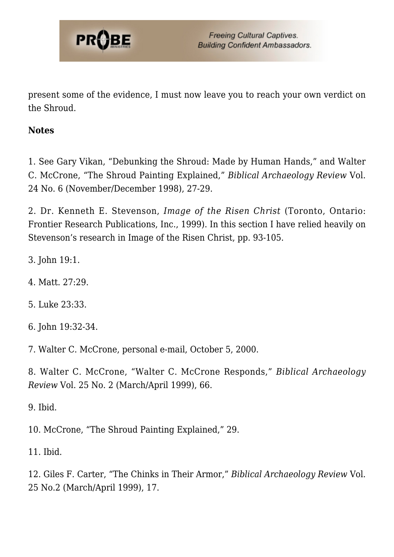

present some of the evidence, I must now leave you to reach your own verdict on the Shroud.

#### **Notes**

<span id="page-7-0"></span>1. See Gary Vikan, "Debunking the Shroud: Made by Human Hands," and Walter C. McCrone, "The Shroud Painting Explained," *Biblical Archaeology Review* Vol. 24 No. 6 (November/December 1998), 27-29.

<span id="page-7-1"></span>2. Dr. Kenneth E. Stevenson, *Image of the Risen Christ* (Toronto, Ontario: Frontier Research Publications, Inc., 1999). In this section I have relied heavily on Stevenson's research in Image of the Risen Christ, pp. 93-105.

- <span id="page-7-3"></span><span id="page-7-2"></span>3. John 19:1.
- <span id="page-7-4"></span>4. Matt. 27:29.
- <span id="page-7-5"></span>5. Luke 23:33.
- <span id="page-7-6"></span>6. John 19:32-34.
- <span id="page-7-7"></span>7. Walter C. McCrone, personal e-mail, October 5, 2000.

<span id="page-7-8"></span>8. Walter C. McCrone, "Walter C. McCrone Responds," *Biblical Archaeology Review* Vol. 25 No. 2 (March/April 1999), 66.

<span id="page-7-9"></span>9. Ibid.

<span id="page-7-10"></span>10. McCrone, "The Shroud Painting Explained," 29.

<span id="page-7-11"></span>11. Ibid.

<span id="page-7-12"></span>12. Giles F. Carter, "The Chinks in Their Armor," *Biblical Archaeology Review* Vol. 25 No.2 (March/April 1999), 17.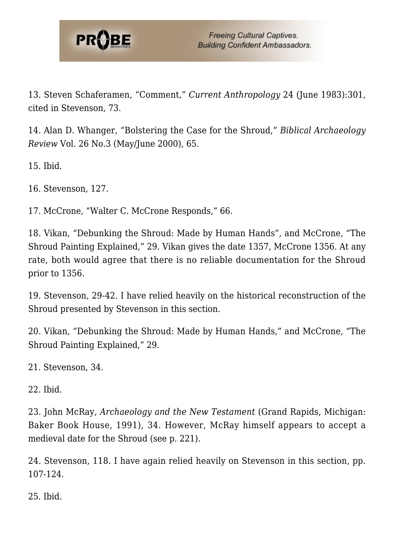

<span id="page-8-0"></span>13. Steven Schaferamen, "Comment," *Current Anthropology* 24 (June 1983):301, cited in Stevenson, 73.

<span id="page-8-1"></span>14. Alan D. Whanger, "Bolstering the Case for the Shroud," *Biblical Archaeology Review* Vol. 26 No.3 (May/June 2000), 65.

<span id="page-8-2"></span>15. Ibid.

<span id="page-8-3"></span>16. Stevenson, 127.

<span id="page-8-4"></span>17. McCrone, "Walter C. McCrone Responds," 66.

18. Vikan, "Debunking the Shroud: Made by Human Hands", and McCrone, "The Shroud Painting Explained," 29. Vikan gives the date 1357, McCrone 1356. At any rate, both would agree that there is no reliable documentation for the Shroud prior to 1356.

<span id="page-8-6"></span><span id="page-8-5"></span>19. Stevenson, 29-42. I have relied heavily on the historical reconstruction of the Shroud presented by Stevenson in this section.

<span id="page-8-7"></span>20. Vikan, "Debunking the Shroud: Made by Human Hands," and McCrone, "The Shroud Painting Explained," 29.

<span id="page-8-8"></span>21. Stevenson, 34.

<span id="page-8-9"></span>22. Ibid.

<span id="page-8-10"></span>23. John McRay, *Archaeology and the New Testament* (Grand Rapids, Michigan: Baker Book House, 1991), 34. However, McRay himself appears to accept a medieval date for the Shroud (see p. 221).

<span id="page-8-11"></span>24. Stevenson, 118. I have again relied heavily on Stevenson in this section, pp. 107-124.

<span id="page-8-12"></span>25. Ibid.